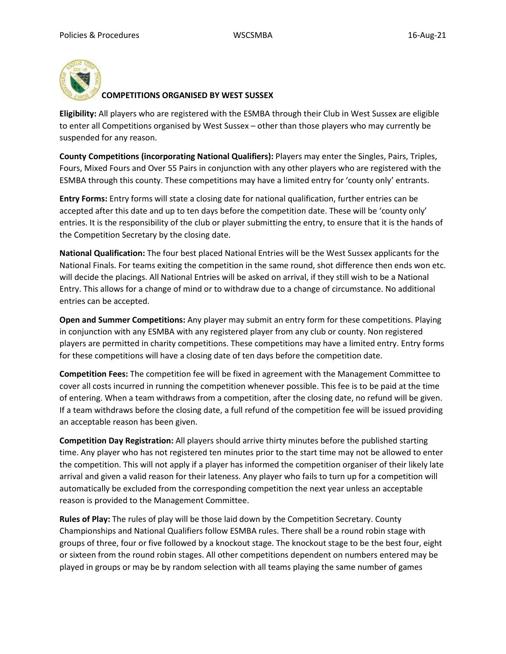

## **COMPETITIONS ORGANISED BY WEST SUSSEX**

**Eligibility:** All players who are registered with the ESMBA through their Club in West Sussex are eligible to enter all Competitions organised by West Sussex – other than those players who may currently be suspended for any reason.

**County Competitions (incorporating National Qualifiers):** Players may enter the Singles, Pairs, Triples, Fours, Mixed Fours and Over 55 Pairs in conjunction with any other players who are registered with the ESMBA through this county. These competitions may have a limited entry for 'county only' entrants.

**Entry Forms:** Entry forms will state a closing date for national qualification, further entries can be accepted after this date and up to ten days before the competition date. These will be 'county only' entries. It is the responsibility of the club or player submitting the entry, to ensure that it is the hands of the Competition Secretary by the closing date.

**National Qualification:** The four best placed National Entries will be the West Sussex applicants for the National Finals. For teams exiting the competition in the same round, shot difference then ends won etc. will decide the placings. All National Entries will be asked on arrival, if they still wish to be a National Entry. This allows for a change of mind or to withdraw due to a change of circumstance. No additional entries can be accepted.

**Open and Summer Competitions:** Any player may submit an entry form for these competitions. Playing in conjunction with any ESMBA with any registered player from any club or county. Non registered players are permitted in charity competitions. These competitions may have a limited entry. Entry forms for these competitions will have a closing date of ten days before the competition date.

**Competition Fees:** The competition fee will be fixed in agreement with the Management Committee to cover all costs incurred in running the competition whenever possible. This fee is to be paid at the time of entering. When a team withdraws from a competition, after the closing date, no refund will be given. If a team withdraws before the closing date, a full refund of the competition fee will be issued providing an acceptable reason has been given.

**Competition Day Registration:** All players should arrive thirty minutes before the published starting time. Any player who has not registered ten minutes prior to the start time may not be allowed to enter the competition. This will not apply if a player has informed the competition organiser of their likely late arrival and given a valid reason for their lateness. Any player who fails to turn up for a competition will automatically be excluded from the corresponding competition the next year unless an acceptable reason is provided to the Management Committee.

**Rules of Play:** The rules of play will be those laid down by the Competition Secretary. County Championships and National Qualifiers follow ESMBA rules. There shall be a round robin stage with groups of three, four or five followed by a knockout stage. The knockout stage to be the best four, eight or sixteen from the round robin stages. All other competitions dependent on numbers entered may be played in groups or may be by random selection with all teams playing the same number of games